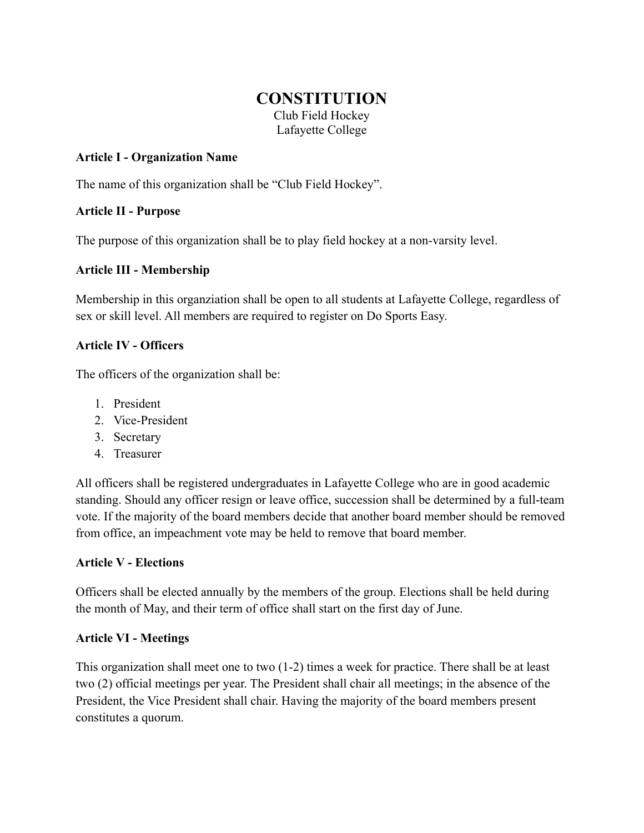# **CONSTITUTION**

Club Field Hockey Lafayette College

# **Article I - Organization Name**

The name of this organization shall be "Club Field Hockey".

# **Article II - Purpose**

The purpose of this organization shall be to play field hockey at a non-varsity level.

# **Article III - Membership**

Membership in this organziation shall be open to all students at Lafayette College, regardless of sex or skill level. All members are required to register on Do Sports Easy.

## **Article IV - Officers**

The officers of the organization shall be:

- 1. President
- 2. Vice-President
- 3. Secretary
- 4. Treasurer

All officers shall be registered undergraduates in Lafayette College who are in good academic standing. Should any officer resign or leave office, succession shall be determined by a full-team vote. If the majority of the board members decide that another board member should be removed from office, an impeachment vote may be held to remove that board member.

#### **Article V - Elections**

Officers shall be elected annually by the members of the group. Elections shall be held during the month of May, and their term of office shall start on the first day of June.

#### **Article VI - Meetings**

This organization shall meet one to two (1-2) times a week for practice. There shall be at least two (2) official meetings per year. The President shall chair all meetings; in the absence of the President, the Vice President shall chair. Having the majority of the board members present constitutes a quorum.